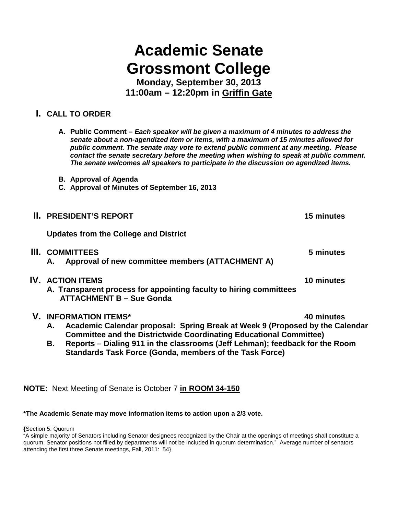# **Academic Senate Grossmont College**

**Monday, September 30, 2013 11:00am – 12:20pm in Griffin Gate**

## **I. CALL TO ORDER**

- **A. Public Comment –** *Each speaker will be given a maximum of 4 minutes to address the senate about a non-agendized item or items, with a maximum of 15 minutes allowed for public comment. The senate may vote to extend public comment at any meeting. Please contact the senate secretary before the meeting when wishing to speak at public comment. The senate welcomes all speakers to participate in the discussion on agendized items.*
- **B. Approval of Agenda**
- **C. Approval of Minutes of September 16, 2013**

|    | <b>II. PRESIDENT'S REPORT</b>                                                                                                    | 15 minutes |
|----|----------------------------------------------------------------------------------------------------------------------------------|------------|
|    | <b>Updates from the College and District</b>                                                                                     |            |
| Ш. | <b>COMMITTEES</b><br>Approval of new committee members (ATTACHMENT A)<br>А.                                                      | 5 minutes  |
|    | <b>IV. ACTION ITEMS</b><br>A. Transparent process for appointing faculty to hiring committees<br><b>ATTACHMENT B - Sue Gonda</b> | 10 minutes |
|    | <b>V. INFORMATION ITEMS*</b><br>Academic Calendar proposal: Spring Break at Week Q (Proposed by the Cale                         | 40 minutes |

- **A. Academic Calendar proposal: Spring Break at Week 9 (Proposed by the Calendar Committee and the Districtwide Coordinating Educational Committee)**
- **B. Reports – Dialing 911 in the classrooms (Jeff Lehman); feedback for the Room Standards Task Force (Gonda, members of the Task Force)**

## **NOTE:** Next Meeting of Senate is October 7 **in ROOM 34-150**

#### **\*The Academic Senate may move information items to action upon a 2/3 vote.**

**{**Section 5. Quorum

<sup>&</sup>quot;A simple majority of Senators including Senator designees recognized by the Chair at the openings of meetings shall constitute a quorum. Senator positions not filled by departments will not be included in quorum determination." Average number of senators attending the first three Senate meetings, Fall, 2011: 54}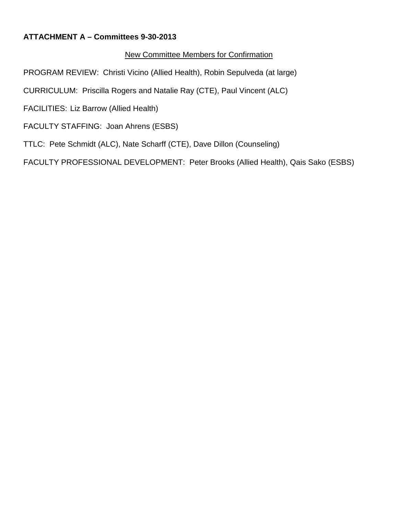## **ATTACHMENT A – Committees 9-30-2013**

## New Committee Members for Confirmation

PROGRAM REVIEW: Christi Vicino (Allied Health), Robin Sepulveda (at large)

CURRICULUM: Priscilla Rogers and Natalie Ray (CTE), Paul Vincent (ALC)

FACILITIES: Liz Barrow (Allied Health)

FACULTY STAFFING: Joan Ahrens (ESBS)

TTLC: Pete Schmidt (ALC), Nate Scharff (CTE), Dave Dillon (Counseling)

FACULTY PROFESSIONAL DEVELOPMENT: Peter Brooks (Allied Health), Qais Sako (ESBS)